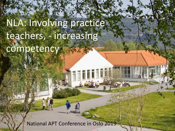# NLA: Involving practice teachers, - increasing competency

National APT Conference in Oslo 2019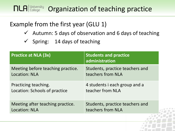#### **NLA College Organization of teaching practice**

#### Example from the first year (GLU 1)

- $\checkmark$  Autumn: 5 days of observation and 6 days of teaching
- $\checkmark$  Spring: 14 days of teaching

| <b>Practice at NLA (3x)</b>       | <b>Students and practice</b><br>administration |
|-----------------------------------|------------------------------------------------|
| Meeting before teaching practice. | Students, practice teachers and                |
| <b>Location: NLA</b>              | teachers from NLA                              |
| Practicing teaching.              | 4 students i each group and a                  |
| Location: Schools of practice     | teacher from NLA                               |
| Meeting after teaching practice.  | Students, practice teachers and                |
| <b>Location: NLA</b>              | teachers from NLA                              |
|                                   |                                                |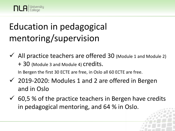## Education in pedagogical mentoring/supervision

- $\checkmark$  All practice teachers are offered 30 (Module 1 and Module 2) + 30 (Module 3 and Module 4) credits. In Bergen the first 30 ECTE are free, in Oslo all 60 ECTE are free.
- $\checkmark$  2019-2020: Modules 1 and 2 are offered in Bergen and in Oslo
- $\checkmark$  60,5 % of the practice teachers in Bergen have credits in pedagogical mentoring, and 64 % in Oslo.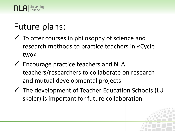

## Future plans:

- $\checkmark$  To offer courses in philosophy of science and research methods to practice teachers in «Cycle two»
- $\checkmark$  Encourage practice teachers and NLA teachers/researchers to collaborate on research and mutual developmental projects
- $\checkmark$  The development of Teacher Education Schools (LU skoler) is important for future collaboration